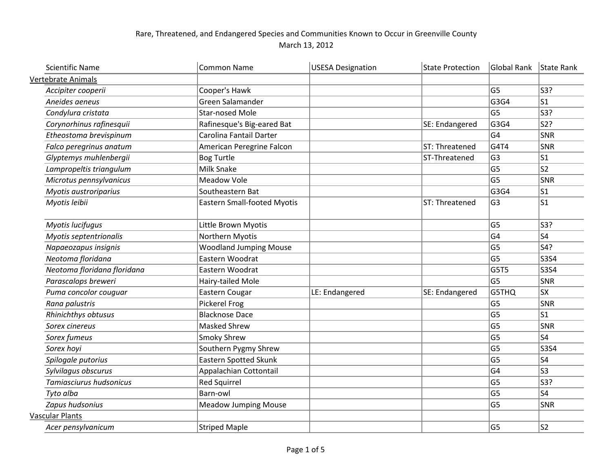## Rare, Threatened, and Endangered Species and Communities Known to Occur in Greenville County March 13, 2012

| <b>Scientific Name</b>      | <b>Common Name</b>                 | <b>USESA Designation</b> | <b>State Protection</b> | Global Rank    | State Rank |
|-----------------------------|------------------------------------|--------------------------|-------------------------|----------------|------------|
| <b>Vertebrate Animals</b>   |                                    |                          |                         |                |            |
| Accipiter cooperii          | Cooper's Hawk                      |                          |                         | G <sub>5</sub> | S3?        |
| Aneides aeneus              | Green Salamander                   |                          |                         | G3G4           | $ s_1 $    |
| Condylura cristata          | <b>Star-nosed Mole</b>             |                          |                         | G <sub>5</sub> | S3?        |
| Corynorhinus rafinesquii    | Rafinesque's Big-eared Bat         |                          | SE: Endangered          | G3G4           | S2?        |
| Etheostoma brevispinum      | Carolina Fantail Darter            |                          |                         | G4             | SNR        |
| Falco peregrinus anatum     | American Peregrine Falcon          |                          | ST: Threatened          | G4T4           | SNR        |
| Glyptemys muhlenbergii      | <b>Bog Turtle</b>                  |                          | ST-Threatened           | G <sub>3</sub> | S1         |
| Lampropeltis triangulum     | <b>Milk Snake</b>                  |                          |                         | G5             | S2         |
| Microtus pennsylvanicus     | <b>Meadow Vole</b>                 |                          |                         | G <sub>5</sub> | SNR        |
| Myotis austroriparius       | Southeastern Bat                   |                          |                         | G3G4           | S1         |
| Myotis leibii               | <b>Eastern Small-footed Myotis</b> |                          | ST: Threatened          | G <sub>3</sub> | S1         |
| Myotis lucifugus            | Little Brown Myotis                |                          |                         | G <sub>5</sub> | S3?        |
| Myotis septentrionalis      | Northern Myotis                    |                          |                         | G <sub>4</sub> | S4         |
| Napaeozapus insignis        | <b>Woodland Jumping Mouse</b>      |                          |                         | G5             | S4?        |
| Neotoma floridana           | Eastern Woodrat                    |                          |                         | G <sub>5</sub> | $ $ S3S4   |
| Neotoma floridana floridana | Eastern Woodrat                    |                          |                         | G5T5           | $ $ S3S4   |
| Parascalops breweri         | Hairy-tailed Mole                  |                          |                         | G <sub>5</sub> | SNR        |
| Puma concolor couquar       | Eastern Cougar                     | LE: Endangered           | SE: Endangered          | G5THQ          | sx         |
| Rana palustris              | Pickerel Frog                      |                          |                         | G <sub>5</sub> | SNR        |
| Rhinichthys obtusus         | <b>Blacknose Dace</b>              |                          |                         | G <sub>5</sub> | S1         |
| Sorex cinereus              | <b>Masked Shrew</b>                |                          |                         | G <sub>5</sub> | SNR        |
| Sorex fumeus                | <b>Smoky Shrew</b>                 |                          |                         | G <sub>5</sub> | S4         |
| Sorex hoyi                  | Southern Pygmy Shrew               |                          |                         | G <sub>5</sub> | S3S4       |
| Spilogale putorius          | Eastern Spotted Skunk              |                          |                         | G <sub>5</sub> | S4         |
| Sylvilagus obscurus         | Appalachian Cottontail             |                          |                         | G4             | S3         |
| Tamiasciurus hudsonicus     | <b>Red Squirrel</b>                |                          |                         | G <sub>5</sub> | S3?        |
| Tyto alba                   | Barn-owl                           |                          |                         | G <sub>5</sub> | S4         |
| Zapus hudsonius             | <b>Meadow Jumping Mouse</b>        |                          |                         | G <sub>5</sub> | SNR        |
| Vascular Plants             |                                    |                          |                         |                |            |
| Acer pensylvanicum          | <b>Striped Maple</b>               |                          |                         | G <sub>5</sub> | $ s_2 $    |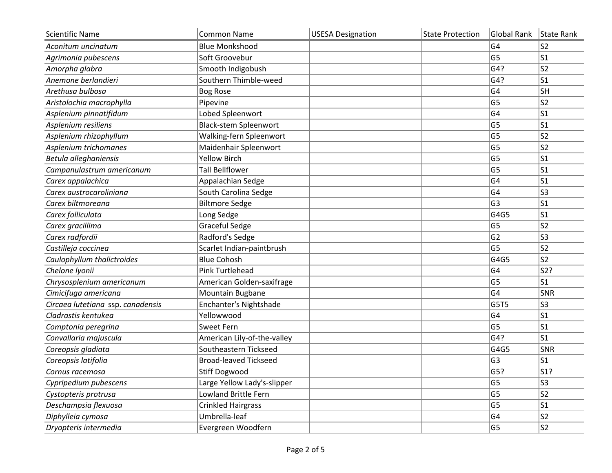| <b>Scientific Name</b>            | <b>Common Name</b>           | <b>USESA Designation</b> | <b>State Protection</b> | Global Rank    | State Rank     |
|-----------------------------------|------------------------------|--------------------------|-------------------------|----------------|----------------|
| Aconitum uncinatum                | <b>Blue Monkshood</b>        |                          |                         | G <sub>4</sub> | S <sub>2</sub> |
| Agrimonia pubescens               | Soft Groovebur               |                          |                         | G <sub>5</sub> | S <sub>1</sub> |
| Amorpha glabra                    | Smooth Indigobush            |                          |                         | G4?            | S <sub>2</sub> |
| Anemone berlandieri               | Southern Thimble-weed        |                          |                         | G4?            | S1             |
| Arethusa bulbosa                  | <b>Bog Rose</b>              |                          |                         | G <sub>4</sub> | SH             |
| Aristolochia macrophylla          | Pipevine                     |                          |                         | G <sub>5</sub> | S <sub>2</sub> |
| Asplenium pinnatifidum            | Lobed Spleenwort             |                          |                         | G <sub>4</sub> | S1             |
| Asplenium resiliens               | <b>Black-stem Spleenwort</b> |                          |                         | G <sub>5</sub> | S1             |
| Asplenium rhizophyllum            | Walking-fern Spleenwort      |                          |                         | G <sub>5</sub> | $\sf S2$       |
| Asplenium trichomanes             | Maidenhair Spleenwort        |                          |                         | G <sub>5</sub> | S <sub>2</sub> |
| Betula alleghaniensis             | <b>Yellow Birch</b>          |                          |                         | G <sub>5</sub> | S1             |
| Campanulastrum americanum         | <b>Tall Bellflower</b>       |                          |                         | G <sub>5</sub> | S <sub>1</sub> |
| Carex appalachica                 | Appalachian Sedge            |                          |                         | G <sub>4</sub> | S <sub>1</sub> |
| Carex austrocaroliniana           | South Carolina Sedge         |                          |                         | G <sub>4</sub> | S <sub>3</sub> |
| Carex biltmoreana                 | <b>Biltmore Sedge</b>        |                          |                         | G <sub>3</sub> | S <sub>1</sub> |
| Carex folliculata                 | Long Sedge                   |                          |                         | G4G5           | S <sub>1</sub> |
| Carex gracillima                  | <b>Graceful Sedge</b>        |                          |                         | G <sub>5</sub> | S <sub>2</sub> |
| Carex radfordii                   | Radford's Sedge              |                          |                         | G <sub>2</sub> | S <sub>3</sub> |
| Castilleja coccinea               | Scarlet Indian-paintbrush    |                          |                         | G <sub>5</sub> | S <sub>2</sub> |
| Caulophyllum thalictroides        | <b>Blue Cohosh</b>           |                          |                         | G4G5           | S <sub>2</sub> |
| Chelone Iyonii                    | Pink Turtlehead              |                          |                         | G4             | S2?            |
| Chrysosplenium americanum         | American Golden-saxifrage    |                          |                         | G <sub>5</sub> | S <sub>1</sub> |
| Cimicifuga americana              | Mountain Bugbane             |                          |                         | G <sub>4</sub> | SNR            |
| Circaea lutetiana ssp. canadensis | Enchanter's Nightshade       |                          |                         | G5T5           | S <sub>3</sub> |
| Cladrastis kentukea               | Yellowwood                   |                          |                         | G4             | S <sub>1</sub> |
| Comptonia peregrina               | <b>Sweet Fern</b>            |                          |                         | G <sub>5</sub> | S1             |
| Convallaria majuscula             | American Lily-of-the-valley  |                          |                         | G4?            | S <sub>1</sub> |
| Coreopsis gladiata                | Southeastern Tickseed        |                          |                         | G4G5           | SNR            |
| Coreopsis latifolia               | <b>Broad-leaved Tickseed</b> |                          |                         | G <sub>3</sub> | S <sub>1</sub> |
| Cornus racemosa                   | <b>Stiff Dogwood</b>         |                          |                         | G5?            | $ $ S1?        |
| Cypripedium pubescens             | Large Yellow Lady's-slipper  |                          |                         | G <sub>5</sub> | S <sub>3</sub> |
| Cystopteris protrusa              | Lowland Brittle Fern         |                          |                         | G <sub>5</sub> | S <sub>2</sub> |
| Deschampsia flexuosa              | <b>Crinkled Hairgrass</b>    |                          |                         | G <sub>5</sub> | S1             |
| Diphylleia cymosa                 | Umbrella-leaf                |                          |                         | G4             | S <sub>2</sub> |
| Dryopteris intermedia             | Evergreen Woodfern           |                          |                         | G5             | S2             |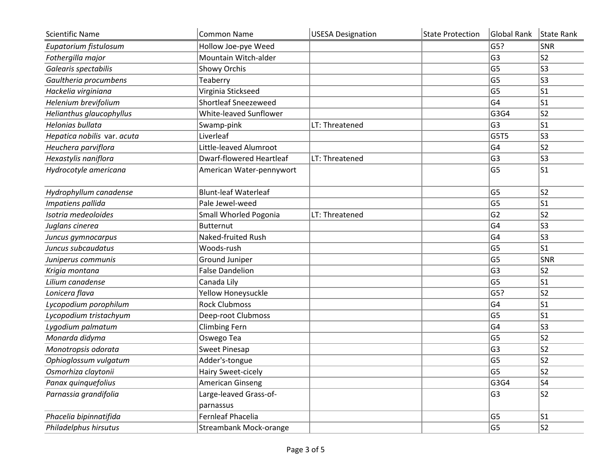| <b>Scientific Name</b>      | <b>Common Name</b>              | <b>USESA Designation</b> | <b>State Protection</b> | Global Rank    | State Rank     |
|-----------------------------|---------------------------------|--------------------------|-------------------------|----------------|----------------|
| Eupatorium fistulosum       | Hollow Joe-pye Weed             |                          |                         | G5?            | SNR            |
| Fothergilla major           | Mountain Witch-alder            |                          |                         | G <sub>3</sub> | S <sub>2</sub> |
| Galearis spectabilis        | Showy Orchis                    |                          |                         | G <sub>5</sub> | S <sub>3</sub> |
| Gaultheria procumbens       | Teaberry                        |                          |                         | G <sub>5</sub> | S3             |
| Hackelia virginiana         | Virginia Stickseed              |                          |                         | G <sub>5</sub> | S1             |
| Helenium brevifolium        | <b>Shortleaf Sneezeweed</b>     |                          |                         | G <sub>4</sub> | S <sub>1</sub> |
| Helianthus glaucophyllus    | White-leaved Sunflower          |                          |                         | G3G4           | S <sub>2</sub> |
| Helonias bullata            | Swamp-pink                      | LT: Threatened           |                         | G <sub>3</sub> | S1             |
| Hepatica nobilis var. acuta | Liverleaf                       |                          |                         | G5T5           | S <sub>3</sub> |
| Heuchera parviflora         | Little-leaved Alumroot          |                          |                         | G <sub>4</sub> | S2             |
| Hexastylis naniflora        | <b>Dwarf-flowered Heartleaf</b> | LT: Threatened           |                         | G <sub>3</sub> | S3             |
| Hydrocotyle americana       | American Water-pennywort        |                          |                         | G <sub>5</sub> | S1             |
| Hydrophyllum canadense      | <b>Blunt-leaf Waterleaf</b>     |                          |                         | G <sub>5</sub> | S <sub>2</sub> |
| Impatiens pallida           | Pale Jewel-weed                 |                          |                         | G <sub>5</sub> | S1             |
| Isotria medeoloides         | Small Whorled Pogonia           | LT: Threatened           |                         | G <sub>2</sub> | S <sub>2</sub> |
| Juglans cinerea             | <b>Butternut</b>                |                          |                         | G <sub>4</sub> | S <sub>3</sub> |
| Juncus gymnocarpus          | Naked-fruited Rush              |                          |                         | G <sub>4</sub> | S <sub>3</sub> |
| Juncus subcaudatus          | Woods-rush                      |                          |                         | G <sub>5</sub> | S <sub>1</sub> |
| Juniperus communis          | Ground Juniper                  |                          |                         | G <sub>5</sub> | SNR            |
| Krigia montana              | <b>False Dandelion</b>          |                          |                         | G <sub>3</sub> | S <sub>2</sub> |
| Lilium canadense            | Canada Lily                     |                          |                         | G <sub>5</sub> | S <sub>1</sub> |
| Lonicera flava              | Yellow Honeysuckle              |                          |                         | G5?            | S <sub>2</sub> |
| Lycopodium porophilum       | <b>Rock Clubmoss</b>            |                          |                         | G <sub>4</sub> | $ s_1 $        |
| Lycopodium tristachyum      | Deep-root Clubmoss              |                          |                         | G <sub>5</sub> | S <sub>1</sub> |
| Lygodium palmatum           | <b>Climbing Fern</b>            |                          |                         | G <sub>4</sub> | S <sub>3</sub> |
| Monarda didyma              | Oswego Tea                      |                          |                         | G <sub>5</sub> | S <sub>2</sub> |
| Monotropsis odorata         | Sweet Pinesap                   |                          |                         | G <sub>3</sub> | S <sub>2</sub> |
| Ophioglossum vulgatum       | Adder's-tongue                  |                          |                         | G <sub>5</sub> | S <sub>2</sub> |
| Osmorhiza claytonii         | Hairy Sweet-cicely              |                          |                         | G <sub>5</sub> | ls2            |
| Panax quinquefolius         | <b>American Ginseng</b>         |                          |                         | G3G4           | S4             |
| Parnassia grandifolia       | Large-leaved Grass-of-          |                          |                         | G <sub>3</sub> | S2             |
|                             | parnassus                       |                          |                         |                |                |
| Phacelia bipinnatifida      | Fernleaf Phacelia               |                          |                         | G <sub>5</sub> | S1             |
| Philadelphus hirsutus       | Streambank Mock-orange          |                          |                         | G <sub>5</sub> | S2             |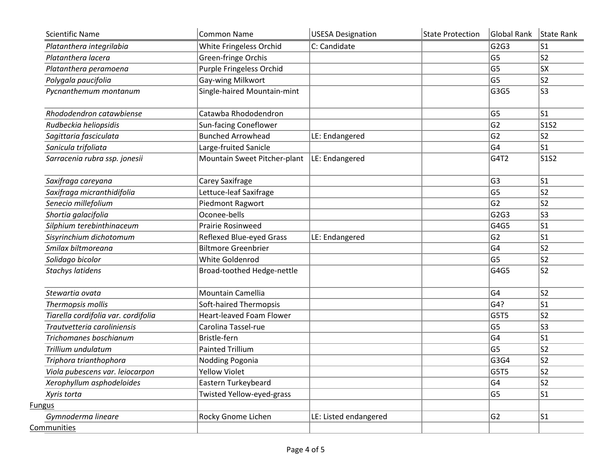| <b>Scientific Name</b>              | Common Name                     | <b>USESA Designation</b> | <b>State Protection</b> | Global Rank    | State Rank                    |
|-------------------------------------|---------------------------------|--------------------------|-------------------------|----------------|-------------------------------|
| Platanthera integrilabia            | White Fringeless Orchid         | C: Candidate             |                         | G2G3           | S1                            |
| Platanthera lacera                  | Green-fringe Orchis             |                          |                         | G <sub>5</sub> | ls2                           |
| Platanthera peramoena               | Purple Fringeless Orchid        |                          |                         | G <sub>5</sub> | sx                            |
| Polygala paucifolia                 | Gay-wing Milkwort               |                          |                         | G <sub>5</sub> | S2                            |
| Pycnanthemum montanum               | Single-haired Mountain-mint     |                          |                         | G3G5           | S3                            |
| Rhododendron catawbiense            | Catawba Rhododendron            |                          |                         | G <sub>5</sub> | ls1                           |
| Rudbeckia heliopsidis               | Sun-facing Coneflower           |                          |                         | G <sub>2</sub> | S <sub>1</sub> S <sub>2</sub> |
| Sagittaria fasciculata              | <b>Bunched Arrowhead</b>        | LE: Endangered           |                         | G <sub>2</sub> | S2                            |
| Sanicula trifoliata                 | Large-fruited Sanicle           |                          |                         | G4             | S1                            |
| Sarracenia rubra ssp. jonesii       | Mountain Sweet Pitcher-plant    | LE: Endangered           |                         | G4T2           | S1S2                          |
| Saxifraga careyana                  | Carey Saxifrage                 |                          |                         | G <sub>3</sub> | S1                            |
| Saxifraga micranthidifolia          | Lettuce-leaf Saxifrage          |                          |                         | G <sub>5</sub> | S2                            |
| Senecio millefolium                 | Piedmont Ragwort                |                          |                         | G <sub>2</sub> | S2                            |
| Shortia galacifolia                 | Oconee-bells                    |                          |                         | G2G3           | S3                            |
| Silphium terebinthinaceum           | <b>Prairie Rosinweed</b>        |                          |                         | G4G5           | S1                            |
| Sisyrinchium dichotomum             | Reflexed Blue-eyed Grass        | LE: Endangered           |                         | G <sub>2</sub> | S1                            |
| Smilax biltmoreana                  | <b>Biltmore Greenbrier</b>      |                          |                         | G4             | S2                            |
| Solidago bicolor                    | White Goldenrod                 |                          |                         | G <sub>5</sub> | S2                            |
| <b>Stachys latidens</b>             | Broad-toothed Hedge-nettle      |                          |                         | G4G5           | S2                            |
| Stewartia ovata                     | <b>Mountain Camellia</b>        |                          |                         | G <sub>4</sub> | S2                            |
| Thermopsis mollis                   | Soft-haired Thermopsis          |                          |                         | G4?            | S1                            |
| Tiarella cordifolia var. cordifolia | <b>Heart-leaved Foam Flower</b> |                          |                         | G5T5           | s2                            |
| Trautvetteria caroliniensis         | Carolina Tassel-rue             |                          |                         | G <sub>5</sub> | ls3                           |
| Trichomanes boschianum              | Bristle-fern                    |                          |                         | G <sub>4</sub> | S1                            |
| Trillium undulatum                  | <b>Painted Trillium</b>         |                          |                         | G <sub>5</sub> | S2                            |
| Triphora trianthophora              | Nodding Pogonia                 |                          |                         | G3G4           | S2                            |
| Viola pubescens var. leiocarpon     | <b>Yellow Violet</b>            |                          |                         | G5T5           | S <sub>2</sub>                |
| Xerophyllum asphodeloides           | Eastern Turkeybeard             |                          |                         | G4             | S <sub>2</sub>                |
| Xyris torta                         | Twisted Yellow-eyed-grass       |                          |                         | G <sub>5</sub> | S1                            |
| <b>Fungus</b>                       |                                 |                          |                         |                |                               |
| Gymnoderma lineare                  | Rocky Gnome Lichen              | LE: Listed endangered    |                         | G2             | S1                            |
| Communities                         |                                 |                          |                         |                |                               |